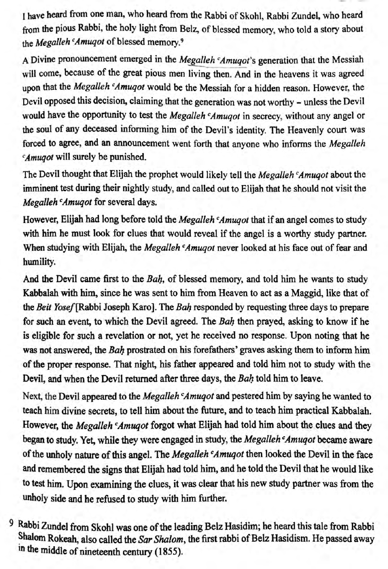1 have heard from one man, who heard from the Rabbi of Skohl, Rabbi Zundel, who heard from the pious Rabbi, the holy light from Belz, of blessed memory, who told a story about the *Megalleh Amuqot* of blessed memory.<sup>9</sup>

A Divine pronouncement emerged in the *Megalleh 'Amuqot*'s generation that the Messiah will come, because of the great pious men living then. And in the heavens it was agreed upon that the *Megalleh <sup>c</sup>Amuqot* would be the Messiah for a hidden reason. However, the Devil opposed this decision, claiming that the generation was not worthy - unless the Devii would have the opportunity to test the *Megalleh <sup>c</sup>Amuqot* in secrecy, without any angel or the soul of any deceased informing him of the Devil's identity. The Heavenly court was forced to agree, and an announcement went forth that anyone who informs the *Megalleh Amuqot will surely be punished.* 

The Devil thought that Elijah the prophet would likely tell the *Megalleh <sup>c</sup>Amuqot* about the imminent test during their nightly study, and called out to Elijah that he should not visit the *Megalleh* <sup>*c</sup>Amuqot* for several days.</sup>

However, Elijah had long before told the *Megal/eh cAmuqot* that if an angel comes to study with him he must look for clues that would reveal if the angel is a worthy study partner. When studying with Elijah, the *Megalleh Amugot* never looked at his face out of fear and humility.

And the Devii carne first to the *Bah,* of blessed memory, and told him he wants to study Kabbalah with him, since be was sent to him from Heaven to act as a Maggid, like that of the *Beit Yosef* [Rabbi Joseph Karo]. The *Bah* responded by requesting three days to prepare for such an event, to which the Devii agreed. The *Bah* then prayed, asking to know if he is eligible for such a revelation or not, yet be received no response. Upon noting that he was not answered, the *Bah* prostrated on bis forefathers' graves asking them to inform him of the proper response. That night, his father appeared and told him not to study with the Devii, and when the Devii retumed after three days, the *Bah* told bim to leave.

Next, the Devil appeared to the *Megalleh Amuqot* and pestered him by saying he wanted to teach him divine secrets, to teli bim about the future, and to teach bim practical Kabbalah. However, the *Megalleh <sup>c</sup>Amuqot* forgot what Elijah had told him about the clues and they began to study. Yet, while they were engaged in study, the *Megalleh cAmuqot* became aware of the unholy nature of this angel. The *Megalleh <sup>c</sup>Amuqot* then looked the Devil in the face and remembered the signs that Elijah had told him, and he told the Devil that he would like to test him. Upon examining the clues, it was clear that bis new study partner was from the unholy side and be refused to study with him further.

9 Rabbi Zundel from Skohl was one of the leading Belz Hasidim; he heard this tale from Rabbi Shalom Rokeah, also called the *Sar Shalom*, the first rabbi of Belz Hasidism. He passed away in the middle of nineteenth century (1855).